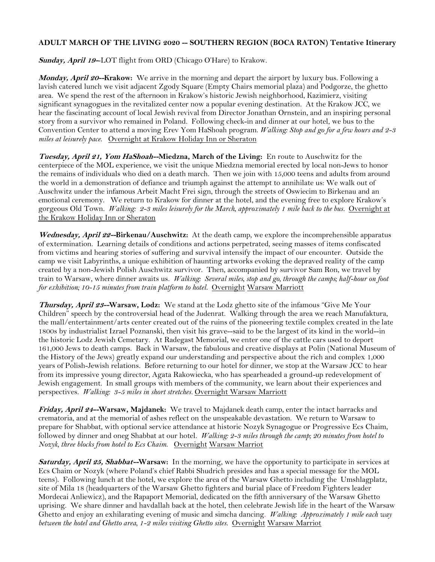## **ADULT MARCH OF THE LIVING 2020 -- SOUTHERN REGION (BOCA RATON) Tentative Itinerary**

Sunday, April 19-LOT flight from ORD (Chicago O'Hare) to Krakow.

**Monday, April 20--Krakow:** We arrive in the morning and depart the airport by luxury bus. Following a lavish catered lunch we visit adjacent Zgody Square (Empty Chairs memorial plaza) and Podgorze, the ghetto area. We spend the rest of the afternoon in Krakow's historic Jewish neighborhood, Kazimierz, visiting significant synagogues in the revitalized center now a popular evening destination. At the Krakow JCC, we hear the fascinating account of local Jewish revival from Director Jonathan Ornstein, and an inspiring personal story from a survivor who remained in Poland. Following check-in and dinner at our hotel, we bus to the Convention Center to attend a moving Erev Yom HaShoah program. *Walking: Stop and go for a few hours and 2-3 miles at leisurely pace*. Overnight at Krakow Holiday Inn or Sheraton

**Tuesday, April 21, Yom HaShoah--Miedzna, March of the Living:** En route to Auschwitz for the centerpiece of the MOL experience, we visit the unique Miedzna memorial erected by local non-Jews to honor the remains of individuals who died on a death march. Then we join with 15,000 teens and adults from around the world in a demonstration of defiance and triumph against the attempt to annihilate us: We walk out of Auschwitz under the infamous Arbeit Macht Frei sign, through the streets of Oswiecim to Birkenau and an emotional ceremony. We return to Krakow for dinner at the hotel, and the evening free to explore Krakow's gorgeous Old Town. *Walking: 2-3 miles leisurely for the March, approximately 1 mile back to the bus.* Overnight at the Krakow Holiday Inn or Sheraton

**Wednesday, April 22--Birkenau/Auschwitz:** At the death camp, we explore the incomprehensible apparatus of extermination. Learning details of conditions and actions perpetrated, seeing masses of items confiscated from victims and hearing stories of suffering and survival intensify the impact of our encounter. Outside the camp we visit Labyrinths, a unique exhibition of haunting artworks evoking the depraved reality of the camp created by a non-Jewish Polish Auschwitz survivor. Then, accompanied by survivor Sam Ron, we travel by train to Warsaw, where dinner awaits us. *Walking: Several miles, stop and go, through the camps; half-hour on foot for exhibition; 10-15 minutes from train platform to hotel.* Overnight Warsaw Marriott

**Thursday, April 23--Warsaw, Lodz:** We stand at the Lodz ghetto site of the infamous "Give Me Your Children" speech by the controversial head of the Judenrat. Walking through the area we reach Manufaktura, the mall/entertainment/arts center created out of the ruins of the pioneering textile complex created in the late 1800s by industrialist Izrael Poznanski, then visit his grave--said to be the largest of its kind in the world--in the historic Lodz Jewish Cemetary. At Radegast Memorial, we enter one of the cattle cars used to deport 161,000 Jews to death camps. Back in Warsaw, the fabulous and creative displays at Polin (National Museum of the History of the Jews) greatly expand our understanding and perspective about the rich and complex 1,000 years of Polish-Jewish relations. Before returning to our hotel for dinner, we stop at the Warsaw JCC to hear from its impressive young director, Agata Rakowiecka, who has spearheaded a ground-up redevelopment of Jewish engagement. In small groups with members of the community, we learn about their experiences and perspectives. Walking: 3-5 miles in short stretches. Overnight Warsaw Marriott

**Friday, April 24--Warsaw, Majdanek:** We travel to Majdanek death camp, enter the intact barracks and crematoria, and at the memorial of ashes reflect on the unspeakable devastation. We return to Warsaw to prepare for Shabbat, with optional service attendance at historic Nozyk Synagogue or Progressive Ecs Chaim, followed by dinner and oneg Shabbat at our hotel. *Walking: 2-3 miles through the camp; 20 minutes from hotel to Nozyk, three blocks from hotel to Ecs Chaim.* Overnight Warsaw Marriot

**Saturday, April 25, Shabbat--Warsaw:** In the morning, we have the opportunity to participate in services at Ecs Chaim or Nozyk (where Poland's chief Rabbi Shudrich presides and has a special message for the MOL teens). Following lunch at the hotel, we explore the area of the Warsaw Ghetto including the Umshlagplatz, site of Mila 18 (headquarters of the Warsaw Ghetto fighters and burial place of Freedom Fighters leader Mordecai Anliewicz), and the Rapaport Memorial, dedicated on the fifth anniversary of the Warsaw Ghetto uprising. We share dinner and havdallah back at the hotel, then celebrate Jewish life in the heart of the Warsaw Ghetto and enjoy an exhilarating evening of music and simcha dancing. *Walking: Approximately 1 mile each way between the hotel and Ghetto area, 1-2 miles visiting Ghetto sites.* Overnight Warsaw Marriot